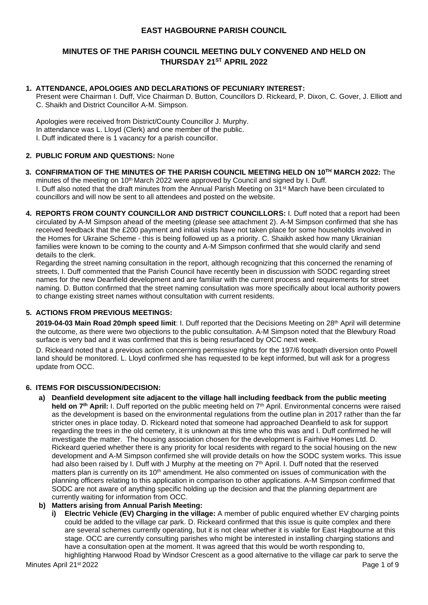# **EAST HAGBOURNE PARISH COUNCIL**

# **MINUTES OF THE PARISH COUNCIL MEETING DULY CONVENED AND HELD ON THURSDAY 21ST APRIL 2022**

# **1. ATTENDANCE, APOLOGIES AND DECLARATIONS OF PECUNIARY INTEREST:**

Present were Chairman I. Duff, Vice Chairman D. Button, Councillors D. Rickeard, P. Dixon, C. Gover, J. Elliott and C. Shaikh and District Councillor A-M. Simpson.

Apologies were received from District/County Councillor J. Murphy. In attendance was L. Lloyd (Clerk) and one member of the public. I. Duff indicated there is 1 vacancy for a parish councillor.

## **2. PUBLIC FORUM AND QUESTIONS:** None

- **3. CONFIRMATION OF THE MINUTES OF THE PARISH COUNCIL MEETING HELD ON 10 TH MARCH 2022:** The minutes of the meeting on 10<sup>th</sup> March 2022 were approved by Council and signed by I. Duff. I. Duff also noted that the draft minutes from the Annual Parish Meeting on 31<sup>st</sup> March have been circulated to councillors and will now be sent to all attendees and posted on the website.
- **4. REPORTS FROM COUNTY COUNCILLOR AND DISTRICT COUNCILLORS:** I. Duff noted that a report had been circulated by A-M Simpson ahead of the meeting (please see attachment 2). A-M Simpson confirmed that she has received feedback that the £200 payment and initial visits have not taken place for some households involved in the Homes for Ukraine Scheme - this is being followed up as a priority. C. Shaikh asked how many Ukrainian families were known to be coming to the county and A-M Simpson confirmed that she would clarify and send details to the clerk.

Regarding the street naming consultation in the report, although recognizing that this concerned the renaming of streets, I. Duff commented that the Parish Council have recently been in discussion with SODC regarding street names for the new Deanfield development and are familiar with the current process and requirements for street naming. D. Button confirmed that the street naming consultation was more specifically about local authority powers to change existing street names without consultation with current residents.

# **5. ACTIONS FROM PREVIOUS MEETINGS:**

**2019-04-03 Main Road 20mph speed limit**: I. Duff reported that the Decisions Meeting on 28th April will determine the outcome, as there were two objections to the public consultation. A-M Simpson noted that the Blewbury Road surface is very bad and it was confirmed that this is being resurfaced by OCC next week.

D. Rickeard noted that a previous action concerning permissive rights for the 197/6 footpath diversion onto Powell land should be monitored. L. Lloyd confirmed she has requested to be kept informed, but will ask for a progress update from OCC.

## **6. ITEMS FOR DISCUSSION/DECISION:**

**a) Deanfield development site adjacent to the village hall including feedback from the public meeting held on 7th April:** I. Duff reported on the public meeting held on 7th April. Environmental concerns were raised as the development is based on the environmental regulations from the outline plan in 2017 rather than the far stricter ones in place today. D. Rickeard noted that someone had approached Deanfield to ask for support regarding the trees in the old cemetery, it is unknown at this time who this was and I. Duff confirmed he will investigate the matter. The housing association chosen for the development is Fairhive Homes Ltd. D. Rickeard queried whether there is any priority for local residents with regard to the social housing on the new development and A-M Simpson confirmed she will provide details on how the SODC system works. This issue had also been raised by I. Duff with J Murphy at the meeting on 7<sup>th</sup> April. I. Duff noted that the reserved matters plan is currently on its 10<sup>th</sup> amendment. He also commented on issues of communication with the planning officers relating to this application in comparison to other applications. A-M Simpson confirmed that SODC are not aware of anything specific holding up the decision and that the planning department are currently waiting for information from OCC.

## **b) Matters arising from Annual Parish Meeting:**

**i) Electric Vehicle (EV) Charging in the village:** A member of public enquired whether EV charging points could be added to the village car park. D. Rickeard confirmed that this issue is quite complex and there are several schemes currently operating, but it is not clear whether it is viable for East Hagbourne at this stage. OCC are currently consulting parishes who might be interested in installing charging stations and have a consultation open at the moment. It was agreed that this would be worth responding to,

Minutes April 21st 2022 **Page 1 of 9** Page 1 of 9 highlighting Harwood Road by Windsor Crescent as a good alternative to the village car park to serve the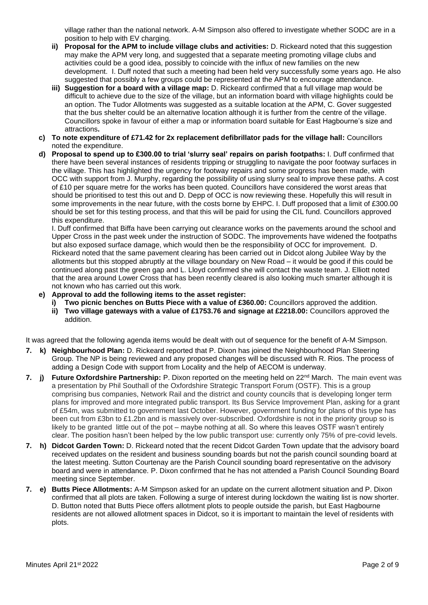village rather than the national network. A-M Simpson also offered to investigate whether SODC are in a position to help with EV charging.

- **ii) Proposal for the APM to include village clubs and activities:** D. Rickeard noted that this suggestion may make the APM very long, and suggested that a separate meeting promoting village clubs and activities could be a good idea, possibly to coincide with the influx of new families on the new development. I. Duff noted that such a meeting had been held very successfully some years ago. He also suggested that possibly a few groups could be represented at the APM to encourage attendance.
- **iii) Suggestion for a board with a village map:** D. Rickeard confirmed that a full village map would be difficult to achieve due to the size of the village, but an information board with village highlights could be an option. The Tudor Allotments was suggested as a suitable location at the APM, C. Gover suggested that the bus shelter could be an alternative location although it is further from the centre of the village. Councillors spoke in favour of either a map or information board suitable for East Hagbourne's size and attractions**.**
- **c) To note expenditure of £71.42 for 2x replacement defibrillator pads for the village hall:** Councillors noted the expenditure.
- **d) Proposal to spend up to £300.00 to trial 'slurry seal' repairs on parish footpaths:** I. Duff confirmed that there have been several instances of residents tripping or struggling to navigate the poor footway surfaces in the village. This has highlighted the urgency for footway repairs and some progress has been made, with OCC with support from J. Murphy, regarding the possibility of using slurry seal to improve these paths. A cost of £10 per square metre for the works has been quoted. Councillors have considered the worst areas that should be prioritised to test this out and D. Depp of OCC is now reviewing these. Hopefully this will result in some improvements in the near future, with the costs borne by EHPC. I. Duff proposed that a limit of £300.00 should be set for this testing process, and that this will be paid for using the CIL fund. Councillors approved this expenditure.

I. Duff confirmed that Biffa have been carrying out clearance works on the pavements around the school and Upper Cross in the past week under the instruction of SODC. The improvements have widened the footpaths but also exposed surface damage, which would then be the responsibility of OCC for improvement. D. Rickeard noted that the same pavement clearing has been carried out in Didcot along Jubilee Way by the allotments but this stopped abruptly at the village boundary on New Road – it would be good if this could be continued along past the green gap and L. Lloyd confirmed she will contact the waste team. J. Elliott noted that the area around Lower Cross that has been recently cleared is also looking much smarter although it is not known who has carried out this work.

- **e) Approval to add the following items to the asset register:**
	- **i) Two picnic benches on Butts Piece with a value of £360.00:** Councillors approved the addition.
	- **ii) Two village gateways with a value of £1753.76 and signage at £2218.00:** Councillors approved the addition.

It was agreed that the following agenda items would be dealt with out of sequence for the benefit of A-M Simpson.

- **7. k) Neighbourhood Plan:** D. Rickeard reported that P. Dixon has joined the Neighbourhood Plan Steering Group. The NP is being reviewed and any proposed changes will be discussed with R. Rios. The process of adding a Design Code with support from Locality and the help of AECOM is underway.
- **7. i) Future Oxfordshire Partnership:** P. Dixon reported on the meeting held on 22<sup>nd</sup> March. The main event was a presentation by Phil Southall of the Oxfordshire Strategic Transport Forum (OSTF). This is a group comprising bus companies, Network Rail and the district and county councils that is developing longer term plans for improved and more integrated public transport. Its Bus Service Improvement Plan, asking for a grant of £54m, was submitted to government last October. However, government funding for plans of this type has been cut from £3bn to £1.2bn and is massively over-subscribed. Oxfordshire is not in the priority group so is likely to be granted little out of the pot – maybe nothing at all. So where this leaves OSTF wasn't entirely clear. The position hasn't been helped by the low public transport use: currently only 75% of pre-covid levels.
- **7. h) Didcot Garden Town:** D. Rickeard noted that the recent Didcot Garden Town update that the advisory board received updates on the resident and business sounding boards but not the parish council sounding board at the latest meeting. Sutton Courtenay are the Parish Council sounding board representative on the advisory board and were in attendance. P. Dixon confirmed that he has not attended a Parish Council Sounding Board meeting since September.
- **7. e) Butts Piece Allotments:** A-M Simpson asked for an update on the current allotment situation and P. Dixon confirmed that all plots are taken. Following a surge of interest during lockdown the waiting list is now shorter. D. Button noted that Butts Piece offers allotment plots to people outside the parish, but East Hagbourne residents are not allowed allotment spaces in Didcot, so it is important to maintain the level of residents with plots.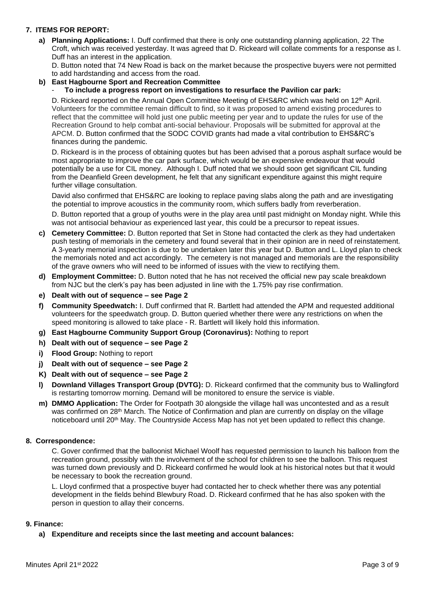# **7. ITEMS FOR REPORT:**

**a) Planning Applications:** I. Duff confirmed that there is only one outstanding planning application, 22 The Croft, which was received yesterday. It was agreed that D. Rickeard will collate comments for a response as I. Duff has an interest in the application.

D. Button noted that 74 New Road is back on the market because the prospective buyers were not permitted to add hardstanding and access from the road.

### **b) East Hagbourne Sport and Recreation Committee**

- **To include a progress report on investigations to resurface the Pavilion car park:**

D. Rickeard reported on the Annual Open Committee Meeting of EHS&RC which was held on 12<sup>th</sup> April. Volunteers for the committee remain difficult to find, so it was proposed to amend existing procedures to reflect that the committee will hold just one public meeting per year and to update the rules for use of the Recreation Ground to help combat anti-social behaviour. Proposals will be submitted for approval at the APCM. D. Button confirmed that the SODC COVID grants had made a vital contribution to EHS&RC's finances during the pandemic.

D. Rickeard is in the process of obtaining quotes but has been advised that a porous asphalt surface would be most appropriate to improve the car park surface, which would be an expensive endeavour that would potentially be a use for CIL money. Although I. Duff noted that we should soon get significant CIL funding from the Deanfield Green development, he felt that any significant expenditure against this might require further village consultation.

David also confirmed that EHS&RC are looking to replace paving slabs along the path and are investigating the potential to improve acoustics in the community room, which suffers badly from reverberation.

D. Button reported that a group of youths were in the play area until past midnight on Monday night. While this was not antisocial behaviour as experienced last year, this could be a precursor to repeat issues.

- **c) Cemetery Committee:** D. Button reported that Set in Stone had contacted the clerk as they had undertaken push testing of memorials in the cemetery and found several that in their opinion are in need of reinstatement. A 3-yearly memorial inspection is due to be undertaken later this year but D. Button and L. Lloyd plan to check the memorials noted and act accordingly. The cemetery is not managed and memorials are the responsibility of the grave owners who will need to be informed of issues with the view to rectifying them.
- **d) Employment Committee:** D. Button noted that he has not received the official new pay scale breakdown from NJC but the clerk's pay has been adjusted in line with the 1.75% pay rise confirmation.
- **e) Dealt with out of sequence – see Page 2**
- **f) Community Speedwatch:** I. Duff confirmed that R. Bartlett had attended the APM and requested additional volunteers for the speedwatch group. D. Button queried whether there were any restrictions on when the speed monitoring is allowed to take place - R. Bartlett will likely hold this information.
- **g) East Hagbourne Community Support Group (Coronavirus):** Nothing to report
- **h) Dealt with out of sequence – see Page 2**
- **i) Flood Group:** Nothing to report
- **j) Dealt with out of sequence – see Page 2**
- **K) Dealt with out of sequence – see Page 2**
- **l) Downland Villages Transport Group (DVTG):** D. Rickeard confirmed that the community bus to Wallingford is restarting tomorrow morning. Demand will be monitored to ensure the service is viable.
- **m) DMMO Application:** The Order for Footpath 30 alongside the village hall was uncontested and as a result was confirmed on 28th March. The Notice of Confirmation and plan are currently on display on the village noticeboard until 20th May. The Countryside Access Map has not yet been updated to reflect this change.

### **8. Correspondence:**

C. Gover confirmed that the balloonist Michael Woolf has requested permission to launch his balloon from the recreation ground, possibly with the involvement of the school for children to see the balloon. This request was turned down previously and D. Rickeard confirmed he would look at his historical notes but that it would be necessary to book the recreation ground.

L. Lloyd confirmed that a prospective buyer had contacted her to check whether there was any potential development in the fields behind Blewbury Road. D. Rickeard confirmed that he has also spoken with the person in question to allay their concerns.

### **9. Finance:**

### **a) Expenditure and receipts since the last meeting and account balances:**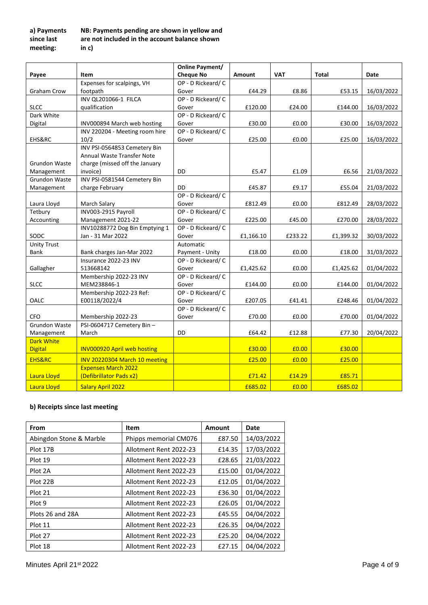#### **a) Payments since last meeting: NB: Payments pending are shown in yellow and are not included in the account balance shown in c)**

|                            |                                                     | <b>Online Payment/</b>                |           |            |           |            |
|----------------------------|-----------------------------------------------------|---------------------------------------|-----------|------------|-----------|------------|
| Payee                      | Item                                                | <b>Cheque No</b>                      | Amount    | <b>VAT</b> | Total     | Date       |
|                            | Expenses for scalpings, VH                          | OP - D Rickeard/ C                    |           |            |           |            |
| Graham Crow                | footpath                                            | Gover                                 | £44.29    | £8.86      | £53.15    | 16/03/2022 |
|                            | INV QL201066-1 FILCA                                | OP - D Rickeard/ C                    |           |            |           |            |
| <b>SLCC</b>                | qualification                                       | Gover                                 | £120.00   | £24.00     | £144.00   | 16/03/2022 |
| Dark White                 |                                                     | OP - D Rickeard/ C                    |           |            |           |            |
| Digital                    | INV000894 March web hosting                         | Gover                                 | £30.00    | £0.00      | £30.00    | 16/03/2022 |
|                            | INV 220204 - Meeting room hire                      | OP - D Rickeard/ C                    |           |            |           |            |
| EHS&RC                     | 10/2                                                | Gover                                 | £25.00    | £0.00      | £25.00    | 16/03/2022 |
|                            | INV PSI-0564853 Cemetery Bin                        |                                       |           |            |           |            |
|                            | Annual Waste Transfer Note                          |                                       |           |            |           |            |
| Grundon Waste              | charge (missed off the January                      |                                       |           |            |           |            |
| Management                 | invoice)                                            | DD                                    | £5.47     | £1.09      | £6.56     | 21/03/2022 |
| <b>Grundon Waste</b>       | INV PSI-0581544 Cemetery Bin                        |                                       |           |            |           |            |
| Management                 | charge February                                     | DD                                    | £45.87    | £9.17      | £55.04    | 21/03/2022 |
|                            |                                                     | OP - D Rickeard/ C                    |           |            |           |            |
| Laura Lloyd                | March Salary                                        | Gover                                 | £812.49   | £0.00      | £812.49   | 28/03/2022 |
| Tetbury                    | INV003-2915 Payroll                                 | OP - D Rickeard/ C                    |           |            |           |            |
| Accounting                 | Management 2021-22                                  | Gover                                 | £225.00   | £45.00     | £270.00   | 28/03/2022 |
| SODC                       | INV10288772 Dog Bin Emptying 1<br>Jan - 31 Mar 2022 | OP - D Rickeard/ C                    |           |            |           |            |
|                            |                                                     | Gover<br>Automatic                    | £1,166.10 | £233.22    | £1,399.32 | 30/03/2022 |
| <b>Unity Trust</b><br>Bank |                                                     |                                       |           |            |           |            |
|                            | Bank charges Jan-Mar 2022<br>Insurance 2022-23 INV  | Payment - Unity<br>OP - D Rickeard/ C | £18.00    | £0.00      | £18.00    | 31/03/2022 |
| Gallagher                  | 513668142                                           | Gover                                 | £1,425.62 | £0.00      | £1,425.62 | 01/04/2022 |
|                            | Membership 2022-23 INV                              | OP - D Rickeard/ C                    |           |            |           |            |
| <b>SLCC</b>                | MEM238846-1                                         | Gover                                 | £144.00   | £0.00      | £144.00   | 01/04/2022 |
|                            | Membership 2022-23 Ref:                             | OP - D Rickeard/ C                    |           |            |           |            |
| OALC                       | E00118/2022/4                                       | Gover                                 | £207.05   | £41.41     | £248.46   | 01/04/2022 |
|                            |                                                     | OP - D Rickeard/ C                    |           |            |           |            |
| <b>CFO</b>                 | Membership 2022-23                                  | Gover                                 | £70.00    | £0.00      | £70.00    | 01/04/2022 |
| <b>Grundon Waste</b>       | PSI-0604717 Cemetery Bin-                           |                                       |           |            |           |            |
| Management                 | March                                               | <b>DD</b>                             | £64.42    | £12.88     | £77.30    | 20/04/2022 |
| <b>Dark White</b>          |                                                     |                                       |           |            |           |            |
| <b>Digital</b>             | <b>INV000920 April web hosting</b>                  |                                       | £30.00    | £0.00      | £30.00    |            |
| <b>EHS&amp;RC</b>          | INV 20220304 March 10 meeting                       |                                       | £25.00    | £0.00      | £25.00    |            |
|                            | <b>Expenses March 2022</b>                          |                                       |           |            |           |            |
| Laura Lloyd                | (Defibrillator Pads x2)                             |                                       | £71.42    | £14.29     | £85.71    |            |
| Laura Lloyd                | <b>Salary April 2022</b>                            |                                       | £685.02   | £0.00      | £685.02   |            |

# **b) Receipts since last meeting**

| From                    | Item                   | Amount | Date       |  |
|-------------------------|------------------------|--------|------------|--|
| Abingdon Stone & Marble | Phipps memorial CM076  | £87.50 | 14/03/2022 |  |
| Plot 17B                | Allotment Rent 2022-23 | £14.35 | 17/03/2022 |  |
| Plot 19                 | Allotment Rent 2022-23 | £28.65 | 21/03/2022 |  |
| Plot 2A                 | Allotment Rent 2022-23 | £15.00 | 01/04/2022 |  |
| Plot 22B                | Allotment Rent 2022-23 | £12.05 | 01/04/2022 |  |
| Plot 21                 | Allotment Rent 2022-23 | £36.30 | 01/04/2022 |  |
| Plot 9                  | Allotment Rent 2022-23 | £26.05 | 01/04/2022 |  |
| Plots 26 and 28A        | Allotment Rent 2022-23 | £45.55 | 04/04/2022 |  |
| Plot 11                 | Allotment Rent 2022-23 | £26.35 | 04/04/2022 |  |
| Plot 27                 | Allotment Rent 2022-23 | £25.20 | 04/04/2022 |  |
| Plot 18                 | Allotment Rent 2022-23 | £27.15 | 04/04/2022 |  |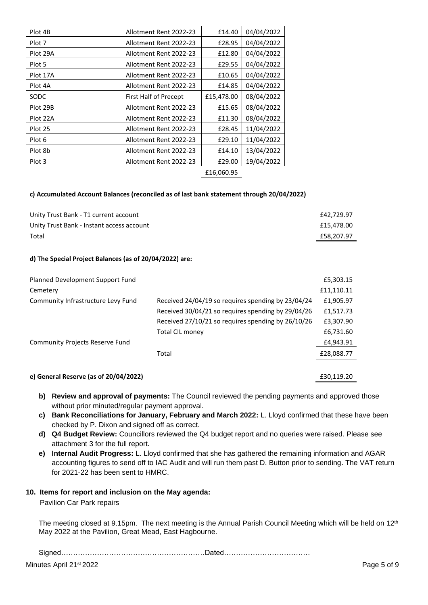| Plot 4B                           | Allotment Rent 2022-23 | £14.40     | 04/04/2022 |
|-----------------------------------|------------------------|------------|------------|
| Plot 7                            | Allotment Rent 2022-23 | £28.95     | 04/04/2022 |
| Plot 29A                          | Allotment Rent 2022-23 | £12.80     | 04/04/2022 |
| Plot 5                            | Allotment Rent 2022-23 | £29.55     | 04/04/2022 |
| Plot 17A                          | Allotment Rent 2022-23 | £10.65     | 04/04/2022 |
| Plot 4A<br>Allotment Rent 2022-23 |                        | £14.85     | 04/04/2022 |
| SODC                              | First Half of Precept  | £15,478.00 | 08/04/2022 |
| Plot 29B                          | Allotment Rent 2022-23 | £15.65     | 08/04/2022 |
| Plot 22A                          | Allotment Rent 2022-23 | £11.30     | 08/04/2022 |
| Plot 25                           | Allotment Rent 2022-23 | £28.45     | 11/04/2022 |
| Plot 6                            | Allotment Rent 2022-23 | £29.10     | 11/04/2022 |
| Plot 8b                           | Allotment Rent 2022-23 | £14.10     | 13/04/2022 |
| Plot 3                            | Allotment Rent 2022-23 | £29.00     | 19/04/2022 |
|                                   |                        | £16,060.95 |            |

### **c) Accumulated Account Balances (reconciled as of last bank statement through 20/04/2022)**

| Unity Trust Bank - T1 current account     | £42.729.97 |
|-------------------------------------------|------------|
| Unity Trust Bank - Instant access account | £15.478.00 |
| Total                                     | £58.207.97 |

#### **d) The Special Project Balances (as of 20/04/2022) are:**

| Planned Development Support Fund       |                                                    | £5,303.15  |
|----------------------------------------|----------------------------------------------------|------------|
| Cemetery                               |                                                    | £11,110.11 |
| Community Infrastructure Levy Fund     | Received 24/04/19 so requires spending by 23/04/24 | £1,905.97  |
|                                        | Received 30/04/21 so requires spending by 29/04/26 | £1,517.73  |
|                                        | Received 27/10/21 so requires spending by 26/10/26 | £3,307.90  |
|                                        | <b>Total CIL money</b>                             | £6,731.60  |
| <b>Community Projects Reserve Fund</b> |                                                    | £4,943.91  |
|                                        | Total                                              | £28,088.77 |
|                                        |                                                    |            |
| e) General Reserve (as of 20/04/2022)  |                                                    | £30,119.20 |

- **b) Review and approval of payments:** The Council reviewed the pending payments and approved those without prior minuted/regular payment approval.
- **c) Bank Reconciliations for January, February and March 2022:** L. Lloyd confirmed that these have been checked by P. Dixon and signed off as correct.
- **d) Q4 Budget Review:** Councillors reviewed the Q4 budget report and no queries were raised. Please see attachment 3 for the full report.
- **e) Internal Audit Progress:** L. Lloyd confirmed that she has gathered the remaining information and AGAR accounting figures to send off to IAC Audit and will run them past D. Button prior to sending. The VAT return for 2021-22 has been sent to HMRC.

### **10. Items for report and inclusion on the May agenda:**

Pavilion Car Park repairs

The meeting closed at 9.15pm. The next meeting is the Annual Parish Council Meeting which will be held on 12<sup>th</sup> May 2022 at the Pavilion, Great Mead, East Hagbourne.

Signed……………………………………………………Dated………………………………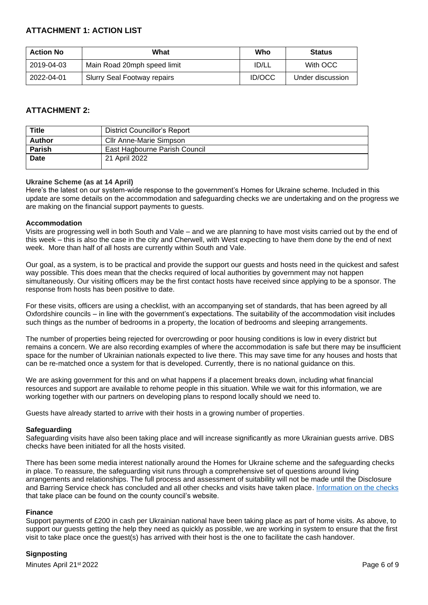# **ATTACHMENT 1: ACTION LIST**

| <b>Action No</b> | What                        | Who           | <b>Status</b>    |
|------------------|-----------------------------|---------------|------------------|
| 2019-04-03       | Main Road 20mph speed limit | ID/LL         | With OCC         |
| 2022-04-01       | Slurry Seal Footway repairs | <b>ID/OCC</b> | Under discussion |

# **ATTACHMENT 2:**

| <b>Title</b> | <b>District Councillor's Report</b> |
|--------------|-------------------------------------|
| Author       | Cllr Anne-Marie Simpson             |
| Parish       | East Hagbourne Parish Council       |
| <b>Date</b>  | 21 April 2022                       |
|              |                                     |

## **Ukraine Scheme (as at 14 April)**

Here's the latest on our system-wide response to the government's Homes for Ukraine scheme. Included in this update are some details on the accommodation and safeguarding checks we are undertaking and on the progress we are making on the financial support payments to guests.

### **Accommodation**

Visits are progressing well in both South and Vale – and we are planning to have most visits carried out by the end of this week – this is also the case in the city and Cherwell, with West expecting to have them done by the end of next week. More than half of all hosts are currently within South and Vale.

Our goal, as a system, is to be practical and provide the support our guests and hosts need in the quickest and safest way possible. This does mean that the checks required of local authorities by government may not happen simultaneously. Our visiting officers may be the first contact hosts have received since applying to be a sponsor. The response from hosts has been positive to date.

For these visits, officers are using a checklist, with an accompanying set of standards, that has been agreed by all Oxfordshire councils – in line with the government's expectations. The suitability of the accommodation visit includes such things as the number of bedrooms in a property, the location of bedrooms and sleeping arrangements.

The number of properties being rejected for overcrowding or poor housing conditions is low in every district but remains a concern. We are also recording examples of where the accommodation is safe but there may be insufficient space for the number of Ukrainian nationals expected to live there. This may save time for any houses and hosts that can be re-matched once a system for that is developed. Currently, there is no national guidance on this.

We are asking government for this and on what happens if a placement breaks down, including what financial resources and support are available to rehome people in this situation. While we wait for this information, we are working together with our partners on developing plans to respond locally should we need to.

Guests have already started to arrive with their hosts in a growing number of properties.

### **Safeguarding**

Safeguarding visits have also been taking place and will increase significantly as more Ukrainian guests arrive. DBS checks have been initiated for all the hosts visited.

There has been some media interest nationally around the Homes for Ukraine scheme and the safeguarding checks in place. To reassure, the safeguarding visit runs through a comprehensive set of questions around living arrangements and relationships. The full process and assessment of suitability will not be made until the Disclosure and Barring Service check has concluded and all other checks and visits have taken place. [Information on the checks](https://www.oxfordshire.gov.uk/council/ukraine/sponsor-support-homes-ukraine-scheme/ive-already-registered) that take place can be found on the county council's website.

### **Finance**

Support payments of £200 in cash per Ukrainian national have been taking place as part of home visits. As above, to support our guests getting the help they need as quickly as possible, we are working in system to ensure that the first visit to take place once the guest(s) has arrived with their host is the one to facilitate the cash handover.

## **Signposting**

Minutes April 21st 2022 **Page 6 of 9** Page 6 of 9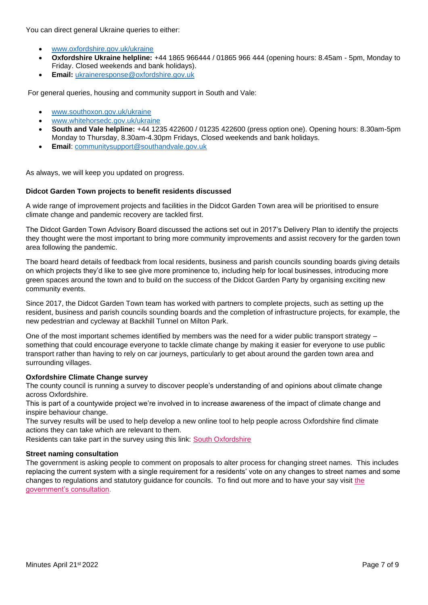You can direct general Ukraine queries to either:

- [www.oxfordshire.gov.uk/ukraine](http://www.oxfordshire.gov.uk/ukraine)
- **Oxfordshire Ukraine helpline:** +44 1865 966444 / 01865 966 444 (opening hours: 8.45am 5pm, Monday to Friday. Closed weekends and bank holidays).
- **Email:** [ukraineresponse@oxfordshire.gov.uk](mailto:ukraineresponse@oxfordshire.gov.uk)

For general queries, housing and community support in South and Vale:

- [www.southoxon.gov.uk/ukraine](http://www.southoxon.gov.uk/ukraine)
- [www.whitehorsedc.gov.uk/ukraine](http://www.whitehorsedc.gov.uk/ukraine)
- **South and Vale helpline:** +44 1235 422600 / 01235 422600 (press option one). Opening hours: 8.30am-5pm Monday to Thursday, 8.30am-4.30pm Fridays, Closed weekends and bank holidays.
- **Email**: [communitysupport@southandvale.gov.uk](mailto:communitysupport@southandvale.gov.uk)

As always, we will keep you updated on progress.

### **Didcot Garden Town projects to benefit residents discussed**

A wide range of improvement projects and facilities in the Didcot Garden Town area will be prioritised to ensure climate change and pandemic recovery are tackled first.

The Didcot Garden Town Advisory Board discussed the actions set out in 2017's Delivery Plan to identify the projects they thought were the most important to bring more community improvements and assist recovery for the garden town area following the pandemic.

The board heard details of feedback from local residents, business and parish councils sounding boards giving details on which projects they'd like to see give more prominence to, including help for local businesses, introducing more green spaces around the town and to build on the success of the Didcot Garden Party by organising exciting new community events.

Since 2017, the Didcot Garden Town team has worked with partners to complete projects, such as setting up the resident, business and parish councils sounding boards and the completion of infrastructure projects, for example, the new pedestrian and cycleway at Backhill Tunnel on Milton Park.

One of the most important schemes identified by members was the need for a wider public transport strategy – something that could encourage everyone to tackle climate change by making it easier for everyone to use public transport rather than having to rely on car journeys, particularly to get about around the garden town area and surrounding villages.

### **Oxfordshire Climate Change survey**

The county council is running a survey to discover people's understanding of and opinions about climate change across Oxfordshire.

This is part of a countywide project we're involved in to increase awareness of the impact of climate change and inspire behaviour change.

The survey results will be used to help develop a new online tool to help people across Oxfordshire find climate actions they can take which are relevant to them.

Residents can take part in the survey using this link: [South Oxfordshire](https://ebtk.co.uk/click/U0JrbEZhcExMZmh6WjJ1WFVTQWt6OVd6aFpJaHF3T05rWk5GWEtjWjRKem8wSm83SHUvd0RMMElJVUdreWMyMHhJQ2JmLzV2enNxVm1YeGlCUmI3RlZjMWRObERrZTJOenNOaXY3dDhON2c2SnpGRTRxTT0/UlI4cUVnPT0)

### **Street naming consultation**

The government is asking people to comment on proposals to alter process for changing street names. This includes replacing the current system with a single requirement for a residents' vote on any changes to street names and some changes to regulations and statutory guidance for councils. To find out more and to have your say visit the [government's consultation.](https://ebtk.co.uk/click/U0JrbEZhcExMZmh6WjJ1WFVTQWt6OVd6aFowcnNRT01uSXNBRWFjTTY0YjAzWjA2RXU2N1JiVVJlUnE2alpLN3lZZVlkK1J0enR1WW5uMTNEUlRrQlVJcVlzeDlrZXVOeko4NXFhMW1MN1FnZDJsUnR2enU2R1B0aXNZQ3Y5Yk14SU1NMHpleWVwQWl4ckhUNWVEMmxTZnI/UlI4cUVnPT0)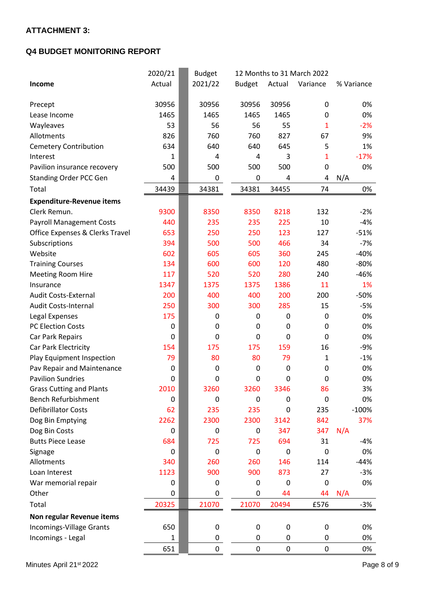# **ATTACHMENT 3:**

# **Q4 BUDGET MONITORING REPORT**

|                                  | 2020/21      | <b>Budget</b> |                  |                  | 12 Months to 31 March 2022 |            |
|----------------------------------|--------------|---------------|------------------|------------------|----------------------------|------------|
| Income                           | Actual       | 2021/22       | <b>Budget</b>    | Actual           | Variance                   | % Variance |
|                                  |              |               |                  |                  |                            |            |
| Precept                          | 30956        | 30956         | 30956            | 30956            | 0                          | 0%         |
| Lease Income                     | 1465         | 1465          | 1465             | 1465             | 0                          | 0%         |
| Wayleaves                        | 53           | 56            | 56               | 55               | 1                          | $-2%$      |
| Allotments                       | 826          | 760           | 760              | 827              | 67                         | 9%         |
| <b>Cemetery Contribution</b>     | 634          | 640           | 640              | 645              | 5                          | 1%         |
| Interest                         | 1            | 4             | 4                | 3                | 1                          | $-17%$     |
| Pavilion insurance recovery      | 500          | 500           | 500              | 500              | 0                          | 0%         |
| <b>Standing Order PCC Gen</b>    | 4            | 0             | 0                | 4                | 4                          | N/A        |
| Total                            | 34439        | 34381         | 34381            | 34455            | 74                         | 0%         |
| <b>Expenditure-Revenue items</b> |              |               |                  |                  |                            |            |
| Clerk Remun.                     | 9300         | 8350          | 8350             | 8218             | 132                        | $-2%$      |
| <b>Payroll Management Costs</b>  | 440          | 235           | 235              | 225              | 10                         | $-4%$      |
| Office Expenses & Clerks Travel  | 653          | 250           | 250              | 123              | 127                        | $-51%$     |
| Subscriptions                    | 394          | 500           | 500              | 466              | 34                         | $-7%$      |
| Website                          | 602          | 605           | 605              | 360              | 245                        | $-40%$     |
| <b>Training Courses</b>          | 134          | 600           | 600              | 120              | 480                        | $-80%$     |
| <b>Meeting Room Hire</b>         | 117          | 520           | 520              | 280              | 240                        | $-46%$     |
| Insurance                        | 1347         | 1375          | 1375             | 1386             | 11                         | 1%         |
| Audit Costs-External             | 200          | 400           | 400              | 200              | 200                        | $-50%$     |
| <b>Audit Costs-Internal</b>      | 250          | 300           | 300              | 285              | 15                         | $-5%$      |
| Legal Expenses                   | 175          | 0             | 0                | 0                | 0                          | 0%         |
| <b>PC Election Costs</b>         | 0            | 0             | 0                | 0                | 0                          | 0%         |
| Car Park Repairs                 | 0            | 0             | 0                | 0                | 0                          | 0%         |
| Car Park Electricity             | 154          | 175           | 175              | 159              | 16                         | $-9%$      |
| Play Equipment Inspection        | 79           | 80            | 80               | 79               | $\mathbf{1}$               | $-1%$      |
| Pav Repair and Maintenance       | 0            | 0             | $\mathbf 0$      | 0                | 0                          | 0%         |
| <b>Pavilion Sundries</b>         | 0            | 0             | $\boldsymbol{0}$ | 0                | 0                          | 0%         |
| <b>Grass Cutting and Plants</b>  | 2010         | 3260          | 3260             | 3346             | 86                         | 3%         |
| <b>Bench Refurbishment</b>       | 0            | 0             | $\mathbf 0$      | 0                | 0                          | 0%         |
| <b>Defibrillator Costs</b>       | 62           | 235           | 235              | 0                | 235                        | $-100%$    |
| Dog Bin Emptying                 | 2262         | 2300          | 2300             | 3142             | 842                        | 37%        |
| Dog Bin Costs                    | 0            | 0             | 0                | 347              | 347                        | N/A        |
| <b>Butts Piece Lease</b>         | 684          | 725           | 725              | 694              | 31                         | $-4%$      |
| Signage                          | 0            | $\mathbf 0$   | $\mathbf 0$      | $\mathbf 0$      | 0                          | 0%         |
| Allotments                       | 340          | 260           | 260              | 146              | 114                        | $-44%$     |
| Loan Interest                    | 1123         | 900           | 900              | 873              | 27                         | $-3%$      |
| War memorial repair              | 0            | 0             | 0                | 0                | $\mathbf 0$                | 0%         |
| Other                            | 0            | 0             | 0                | 44               | 44                         | N/A        |
| Total                            | 20325        | 21070         | 21070            | 20494            | £576                       | $-3%$      |
| Non regular Revenue items        |              |               |                  |                  |                            |            |
| Incomings-Village Grants         | 650          | 0             | 0                | $\boldsymbol{0}$ | 0                          | 0%         |
| Incomings - Legal                | $\mathbf{1}$ | 0             | 0                | 0                | 0                          | 0%         |
|                                  | 651          | 0             | 0                | 0                | 0                          | 0%         |